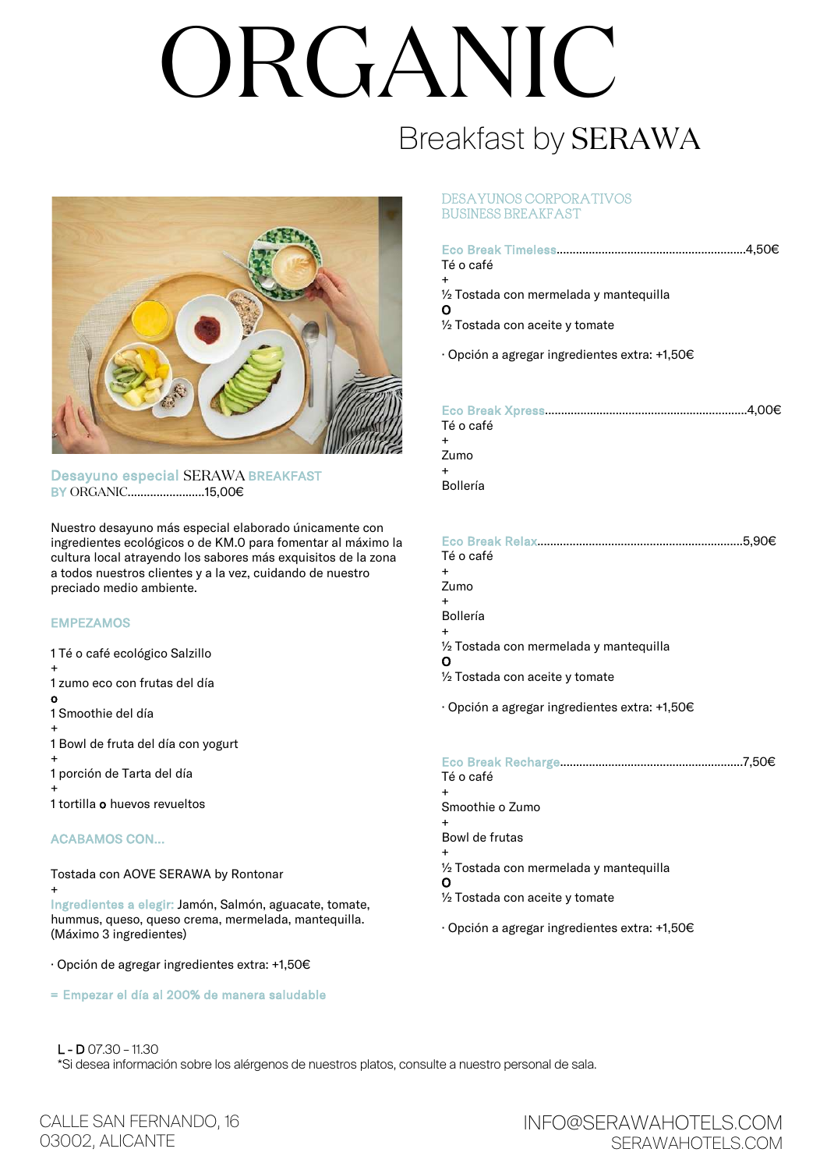# ORGANIC

# Breakfast by SERAWA



Desayuno especial SERAWA BREAKFAST BY ORGANIC........................15,00€

Nuestro desayuno más especial elaborado únicamente con ingredientes ecológicos o de KM.0 para fomentar al máximo la cultura local atrayendo los sabores más exquisitos de la zona a todos nuestros clientes y a la vez, cuidando de nuestro preciado medio ambiente.

## EMPEZAMOS

1 Té o café ecológico Salzillo + 1 zumo eco con frutas del día o 1 Smoothie del día + 1 Bowl de fruta del día con yogurt + 1 porción de Tarta del día + 1 tortilla o huevos revueltos

## ACABAMOS CON…

Tostada con AOVE SERAWA by Rontonar

+ Ingredientes a elegir: Jamón, Salmón, aguacate, tomate, hummus, queso, queso crema, mermelada, mantequilla. (Máximo 3 ingredientes)

· Opción de agregar ingredientes extra: +1,50€

= Empezar el día al 200% de manera saludable

### DESAYUNOS CORPORATIVOS BUSINESS BREAKFAST

| Té o café<br>$\ddot{}$                                   |
|----------------------------------------------------------|
| $\frac{1}{2}$ Tostada con mermelada y mantequilla<br>О   |
| $\frac{1}{2}$ Tostada con aceite y tomate                |
| $\cdot$ Opción a agregar ingredientes extra: +1,50 $\in$ |
| Té o café                                                |

+ Zumo +

Bollería

|                                         | .5.90€ |
|-----------------------------------------|--------|
| Té o café                               |        |
| $\ddot{}$                               |        |
| Zumo                                    |        |
| $\ddot{}$                               |        |
| Bollería                                |        |
| $\ddot{}$                               |        |
| 1/2 Tostada con mermelada y mantequilla |        |
| O                                       |        |
| 1/2 Tostada con aceite y tomate         |        |
|                                         |        |

· Opción a agregar ingredientes extra: +1,50€

| Té o café                                                |
|----------------------------------------------------------|
| $\div$                                                   |
| Smoothie o Zumo                                          |
| $\div$                                                   |
| Bowl de frutas                                           |
|                                                          |
| 1/2 Tostada con mermelada y mantequilla                  |
| О                                                        |
| 1/2 Tostada con aceite y tomate                          |
| $\cdot$ Opción a agregar ingredientes extra: +1,50 $\in$ |

 $L - D$  07.30 – 11.30 \*Si desea información sobre los alérgenos de nuestros platos, consulte a nuestro personal de sala.